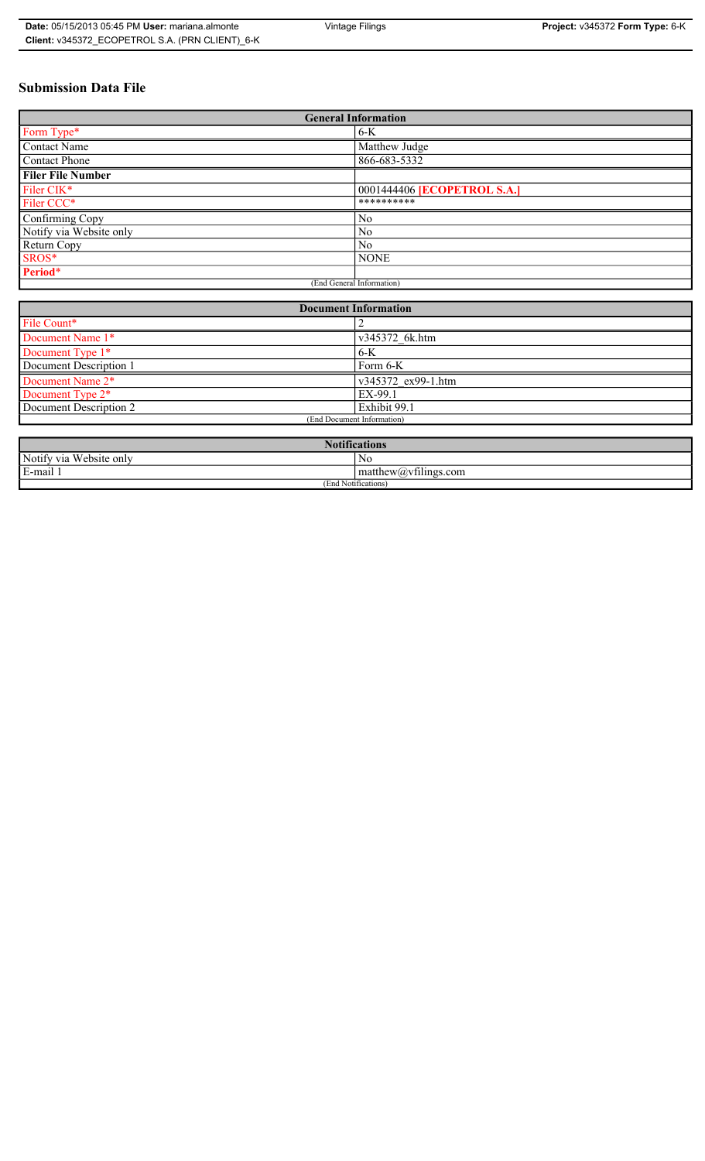# **Submission Data File**

| <b>General Information</b> |                                    |  |
|----------------------------|------------------------------------|--|
| Form Type*                 | $6-K$                              |  |
| Contact Name               | Matthew Judge                      |  |
| Contact Phone              | 866-683-5332                       |  |
| <b>Filer File Number</b>   |                                    |  |
| Filer CIK*                 | 0001444406 <b>[ECOPETROL S.A.]</b> |  |
| Filer CCC*                 | **********                         |  |
| Confirming Copy            | N <sub>0</sub>                     |  |
| Notify via Website only    | N <sub>0</sub>                     |  |
| Return Copy                | N <sub>0</sub>                     |  |
| SROS*                      | <b>NONE</b>                        |  |
| Period*                    |                                    |  |
| (End General Information)  |                                    |  |

| <b>Document Information</b>  |                    |  |
|------------------------------|--------------------|--|
| File Count*                  |                    |  |
| Document Name 1*             | v345372 6k.htm     |  |
| Document Type 1*             | $6 - K$            |  |
| Document Description 1       | Form 6-K           |  |
| Document Name 2*             | v345372 ex99-1.htm |  |
| Document Type 2 <sup>*</sup> | EX-99.1            |  |
| Document Description 2       | Exhibit 99.1       |  |
| (End Document Information)   |                    |  |
|                              |                    |  |

| <b>Notifications</b>    |                                               |  |
|-------------------------|-----------------------------------------------|--|
| Notify via Website only | No                                            |  |
| E-mail<br>$\cdots$      | $\sim$ 1.<br>matthew( <i>a</i> ) vtilings.com |  |
| (End Notifications)     |                                               |  |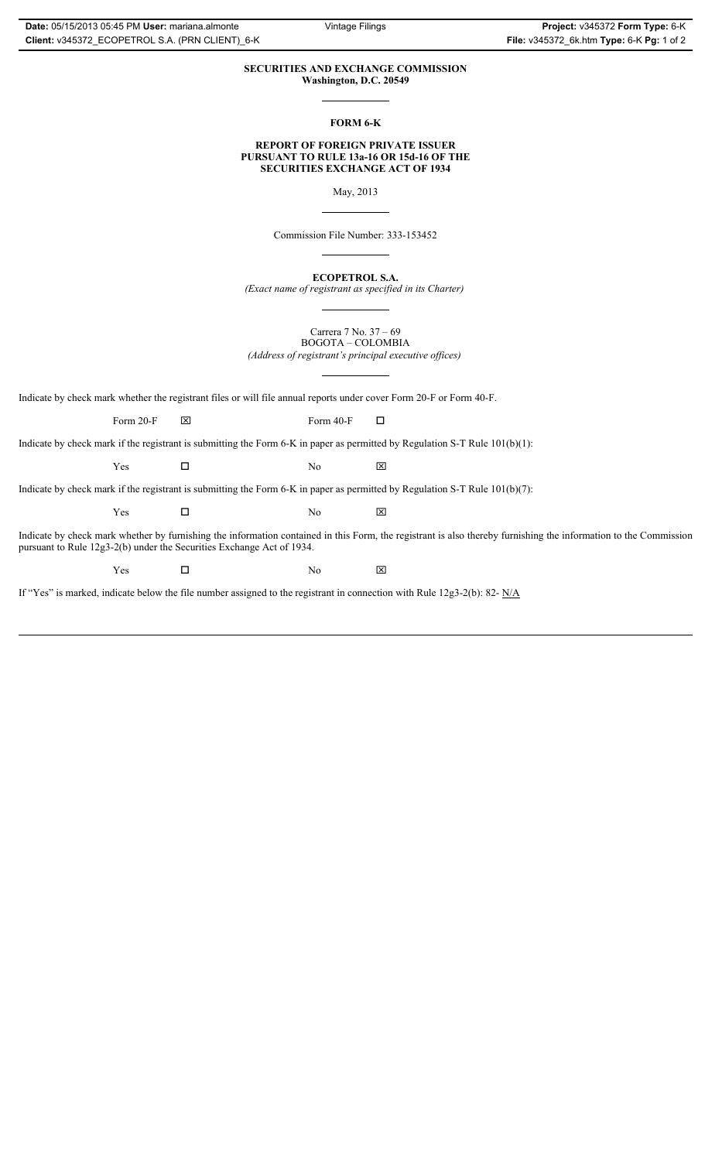## **SECURITIES AND EXCHANGE COMMISSION Washington, D.C. 20549**

**FORM 6-K**

#### **REPORT OF FOREIGN PRIVATE ISSUER PURSUANT TO RULE 13a-16 OR 15d-16 OF THE SECURITIES EXCHANGE ACT OF 1934**

May, 2013

Commission File Number: 333-153452

**ECOPETROL S.A.** *(Exact name of registrant as specified in its Charter)*

Carrera 7 No. 37 – 69 BOGOTA – COLOMBIA *(Address of registrant's principal executive offices)*

Indicate by check mark whether the registrant files or will file annual reports under cover Form 20-F or Form 40-F.

Form 20-F  $\boxtimes$  Form 40-F  $\Box$ 

Indicate by check mark if the registrant is submitting the Form 6-K in paper as permitted by Regulation S-T Rule 101(b)(1):

 $Yes$   $\Box$  No  $X$ 

Indicate by check mark if the registrant is submitting the Form 6-K in paper as permitted by Regulation S-T Rule 101(b)(7):

 $Yes$   $\Box$  No  $X$ 

Indicate by check mark whether by furnishing the information contained in this Form, the registrant is also thereby furnishing the information to the Commission pursuant to Rule 12g3-2(b) under the Securities Exchange Act of 1934.

 $Yes$   $\square$  No  $X$ 

If "Yes" is marked, indicate below the file number assigned to the registrant in connection with Rule 12g3-2(b): 82- N/A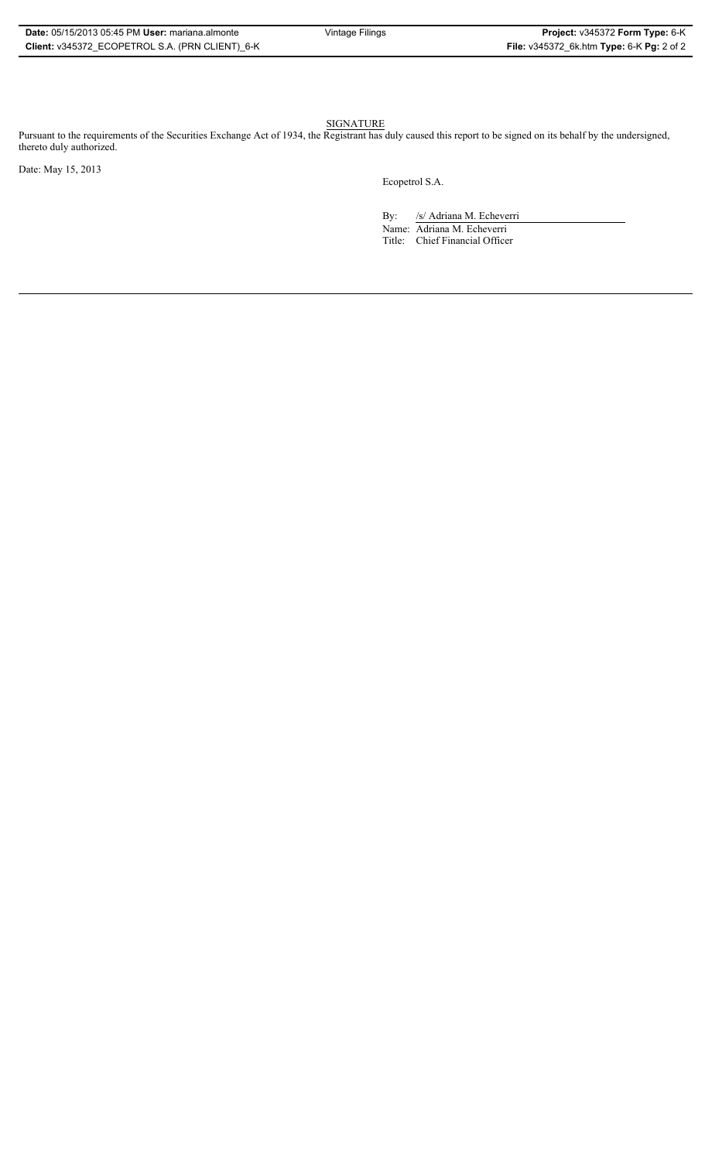| Date: 05/15/2013 05:45 PM User: mariana almonte |  |  |
|-------------------------------------------------|--|--|
| Client: v345372 ECOPETROL S.A. (PRN CLIENT) 6-K |  |  |

SIGNATURE

Pursuant to the requirements of the Securities Exchange Act of 1934, the Registrant has duly caused this report to be signed on its behalf by the undersigned, thereto duly authorized.

Date: May 15, 2013

Ecopetrol S.A.

By: /s/ Adriana M. Echeverri Name: Adriana M. Echeverri Title: Chief Financial Officer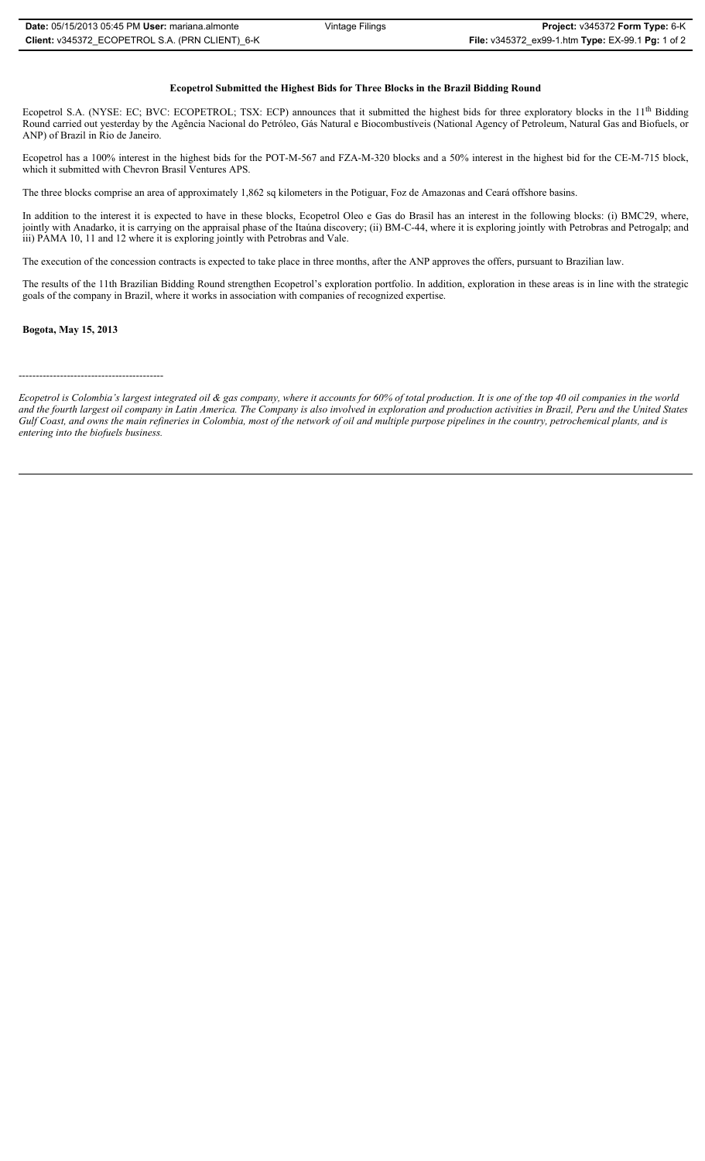#### **Ecopetrol Submitted the Highest Bids for Three Blocks in the Brazil Bidding Round**

Ecopetrol S.A. (NYSE: EC; BVC: ECOPETROL; TSX: ECP) announces that it submitted the highest bids for three exploratory blocks in the 11<sup>th</sup> Bidding Round carried out yesterday by the Agência Nacional do Petróleo, Gás Natural e Biocombustíveis (National Agency of Petroleum, Natural Gas and Biofuels, or ANP) of Brazil in Rio de Janeiro.

Ecopetrol has a 100% interest in the highest bids for the POT-M-567 and FZA-M-320 blocks and a 50% interest in the highest bid for the CE-M-715 block, which it submitted with Chevron Brasil Ventures APS.

The three blocks comprise an area of approximately 1,862 sq kilometers in the Potiguar, Foz de Amazonas and Ceará offshore basins.

In addition to the interest it is expected to have in these blocks, Ecopetrol Oleo e Gas do Brasil has an interest in the following blocks: (i) BMC29, where, jointly with Anadarko, it is carrying on the appraisal phase of the Itaúna discovery; (ii) BM-C-44, where it is exploring jointly with Petrobras and Petrogalp; and iii) PAMA 10, 11 and 12 where it is exploring jointly with Petrobras and Vale.

The execution of the concession contracts is expected to take place in three months, after the ANP approves the offers, pursuant to Brazilian law.

The results of the 11th Brazilian Bidding Round strengthen Ecopetrol's exploration portfolio. In addition, exploration in these areas is in line with the strategic goals of the company in Brazil, where it works in association with companies of recognized expertise.

### **Bogota, May 15, 2013**

------------------------------------------

*Ecopetrol is Colombia's largest integrated oil & gas company, where it accounts for 60% of total production. It is one of the top 40 oil companies in the world and the fourth largest oil company in Latin America. The Company is also involved in exploration and production activities in Brazil, Peru and the United States Gulf Coast, and owns the main refineries in Colombia, most of the network of oil and multiple purpose pipelines in the country, petrochemical plants, and is entering into the biofuels business.*